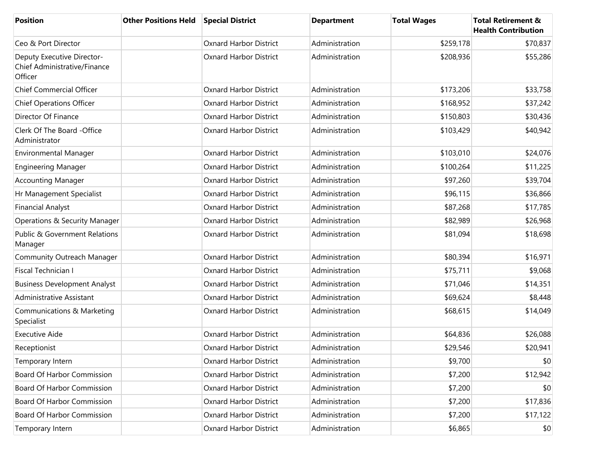| <b>Position</b>                                                       | <b>Other Positions Held</b> | <b>Special District</b>       | <b>Department</b> | <b>Total Wages</b> | <b>Total Retirement &amp;</b><br><b>Health Contribution</b> |
|-----------------------------------------------------------------------|-----------------------------|-------------------------------|-------------------|--------------------|-------------------------------------------------------------|
| Ceo & Port Director                                                   |                             | <b>Oxnard Harbor District</b> | Administration    | \$259,178          | \$70,837                                                    |
| Deputy Executive Director-<br>Chief Administrative/Finance<br>Officer |                             | <b>Oxnard Harbor District</b> | Administration    | \$208,936          | \$55,286                                                    |
| <b>Chief Commercial Officer</b>                                       |                             | <b>Oxnard Harbor District</b> | Administration    | \$173,206          | \$33,758                                                    |
| <b>Chief Operations Officer</b>                                       |                             | <b>Oxnard Harbor District</b> | Administration    | \$168,952          | \$37,242                                                    |
| Director Of Finance                                                   |                             | <b>Oxnard Harbor District</b> | Administration    | \$150,803          | \$30,436                                                    |
| Clerk Of The Board -Office<br>Administrator                           |                             | <b>Oxnard Harbor District</b> | Administration    | \$103,429          | \$40,942                                                    |
| Environmental Manager                                                 |                             | <b>Oxnard Harbor District</b> | Administration    | \$103,010          | \$24,076                                                    |
| <b>Engineering Manager</b>                                            |                             | <b>Oxnard Harbor District</b> | Administration    | \$100,264          | \$11,225                                                    |
| <b>Accounting Manager</b>                                             |                             | <b>Oxnard Harbor District</b> | Administration    | \$97,260           | \$39,704                                                    |
| Hr Management Specialist                                              |                             | <b>Oxnard Harbor District</b> | Administration    | \$96,115           | \$36,866                                                    |
| <b>Financial Analyst</b>                                              |                             | <b>Oxnard Harbor District</b> | Administration    | \$87,268           | \$17,785                                                    |
| Operations & Security Manager                                         |                             | <b>Oxnard Harbor District</b> | Administration    | \$82,989           | \$26,968                                                    |
| <b>Public &amp; Government Relations</b><br>Manager                   |                             | <b>Oxnard Harbor District</b> | Administration    | \$81,094           | \$18,698                                                    |
| Community Outreach Manager                                            |                             | <b>Oxnard Harbor District</b> | Administration    | \$80,394           | \$16,971                                                    |
| Fiscal Technician I                                                   |                             | <b>Oxnard Harbor District</b> | Administration    | \$75,711           | \$9,068                                                     |
| <b>Business Development Analyst</b>                                   |                             | <b>Oxnard Harbor District</b> | Administration    | \$71,046           | \$14,351                                                    |
| Administrative Assistant                                              |                             | <b>Oxnard Harbor District</b> | Administration    | \$69,624           | \$8,448                                                     |
| Communications & Marketing<br>Specialist                              |                             | <b>Oxnard Harbor District</b> | Administration    | \$68,615           | \$14,049                                                    |
| <b>Executive Aide</b>                                                 |                             | <b>Oxnard Harbor District</b> | Administration    | \$64,836           | \$26,088                                                    |
| Receptionist                                                          |                             | Oxnard Harbor District        | Administration    | \$29,546           | \$20,941                                                    |
| Temporary Intern                                                      |                             | <b>Oxnard Harbor District</b> | Administration    | \$9,700            | \$0                                                         |
| <b>Board Of Harbor Commission</b>                                     |                             | <b>Oxnard Harbor District</b> | Administration    | \$7,200            | \$12,942                                                    |
| <b>Board Of Harbor Commission</b>                                     |                             | <b>Oxnard Harbor District</b> | Administration    | \$7,200            | \$0                                                         |
| <b>Board Of Harbor Commission</b>                                     |                             | <b>Oxnard Harbor District</b> | Administration    | \$7,200            | \$17,836                                                    |
| <b>Board Of Harbor Commission</b>                                     |                             | <b>Oxnard Harbor District</b> | Administration    | \$7,200            | \$17,122                                                    |
| Temporary Intern                                                      |                             | <b>Oxnard Harbor District</b> | Administration    | \$6,865            | $ 10\rangle$                                                |